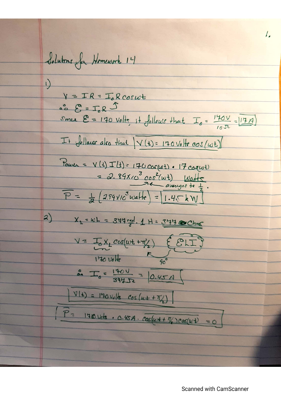I. Solutions for Homework 14  $\sqrt{ }$  $Y = IR = T_{0}Rcos\omega t$  $\stackrel{\circ}{\circ}$   $\stackrel{\circ}{\circ}$  =  $\stackrel{\circ}{\circ}$  R  $\stackrel{\circ}{\circ}$ Small  $E = 170$  Volts, it follows that  $I_o = \frac{140V}{17.7} = 17.7$  $I + \int_{0}^{\infty}$ law also that  $\sqrt{(t)} = 170 \text{ Vol} + \cos(\omega t)$ Power = V (1) I (2) = 170 cor(wt) . 17 car(wt) = 2.89 $x$ 10<sup>3</sup>  $cos^2(\omega t)$  Watts.  $\overline{P} = \frac{1}{2} (2.89 \times 10^5 \text{ w} \text{a} \text{Hz}) = 1.45 \text{ kW}$  $2)$  $X_1 = wL = 344$  rad.  $1 H = 344$  Chnc  $V = I_0 X_L cos(\omega t + \eta'_2) \quad \text{EELI}$  $170 \text{ V}$ olte  $90^\circ$  $\frac{2}{24}$   $\frac{1404}{394}$  = 0.45 A  $V(t) = 170 \text{V}_e \text{/s}$   $cos\left(\omega t + \frac{\pi}{2}\right)$  $P = 140 \text{ Vck} \cdot 0.45A \cdot \cos(\omega t + \frac{\pi}{4})cos(\omega t)$ 

**Scanned with CamScanner**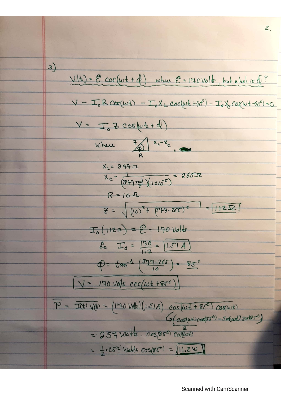3)  
\n
$$
\frac{1}{16} = \frac{2 \cos(\omega t + 4)}{16} \frac{\omega h \omega}{2} = 170 \text{Vol} \frac{1}{3} \frac{1}{2} \frac{1}{2} \frac{1}{2} \frac{1}{2} \frac{1}{2} \frac{1}{2} \frac{1}{2} \frac{1}{2} \frac{1}{2} \frac{1}{2} \frac{1}{2} \frac{1}{2} \frac{1}{2} \frac{1}{2} \frac{1}{2} \frac{1}{2} \frac{1}{2} \frac{1}{2} \frac{1}{2} \frac{1}{2} \frac{1}{2} \frac{1}{2} \frac{1}{2} \frac{1}{2} \frac{1}{2} \frac{1}{2} \frac{1}{2} \frac{1}{2} \frac{1}{2} \frac{1}{2} \frac{1}{2} \frac{1}{2} \frac{1}{2} \frac{1}{2} \frac{1}{2} \frac{1}{2} \frac{1}{2} \frac{1}{2} \frac{1}{2} \frac{1}{2} \frac{1}{2} \frac{1}{2} \frac{1}{2} \frac{1}{2} \frac{1}{2} \frac{1}{2} \frac{1}{2} \frac{1}{2} \frac{1}{2} \frac{1}{2} \frac{1}{2} \frac{1}{2} \frac{1}{2} \frac{1}{2} \frac{1}{2} \frac{1}{2} \frac{1}{2} \frac{1}{2} \frac{1}{2} \frac{1}{2} \frac{1}{2} \frac{1}{2} \frac{1}{2} \frac{1}{2} \frac{1}{2} \frac{1}{2} \frac{1}{2} \frac{1}{2} \frac{1}{2} \frac{1}{2} \frac{1}{2} \frac{1}{2} \frac{1}{2} \frac{1}{2} \frac{1}{2} \frac{1}{2} \frac{1}{2} \frac{1}{2} \frac{1}{2} \frac{1}{2} \frac{1}{2} \frac{1}{2} \frac{1}{2} \frac{1}{2} \frac{1}{2} \frac{1}{2} \frac{1}{2} \frac{1}{2} \frac{1}{2} \frac{1}{2} \frac{1}{2} \frac{1}{2} \frac{1}{2} \frac{1}{2} \frac{1}{2} \frac{1}{2} \frac{1}{2} \frac{1}{2} \frac{1}{2} \frac{1}{2} \frac
$$

**Scanned with CamScanner**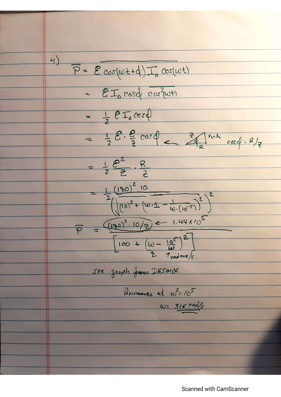$4)$  $\overline{P} = \mathcal{E} cos(\omega t + d) \overline{I}_{o} cos(\omega t)$ - EI cosd cos?(ut)  $= \frac{1}{2} 8 I_0 cos \phi$  $= \frac{1}{2} \mathcal{E} \cdot \frac{\mathcal{E}}{7} \cos{\phi}$  =  $\frac{7}{4} \sqrt{\frac{x-t}{c}} \cos{\phi} = R/7$  $=\frac{1}{2}\frac{\rho^2}{7} \cdot \frac{R}{2}$ =  $\frac{1}{2}(\sqrt{140)^{2}+(w\cdot1-\frac{1}{w\cdot(10^{-5})})^{2}})^{2}$  $=(470)^2.10/2$  = 1.44 x/0  $\overline{\rho}$  $\left[100 + \left(\omega - \frac{10^5}{\omega}\right)^2\right]$ see graph from DESMOS Resemance at W= 105  $wz$  316 rad/s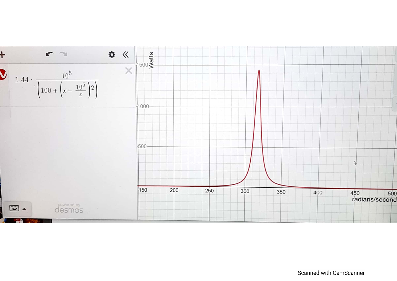